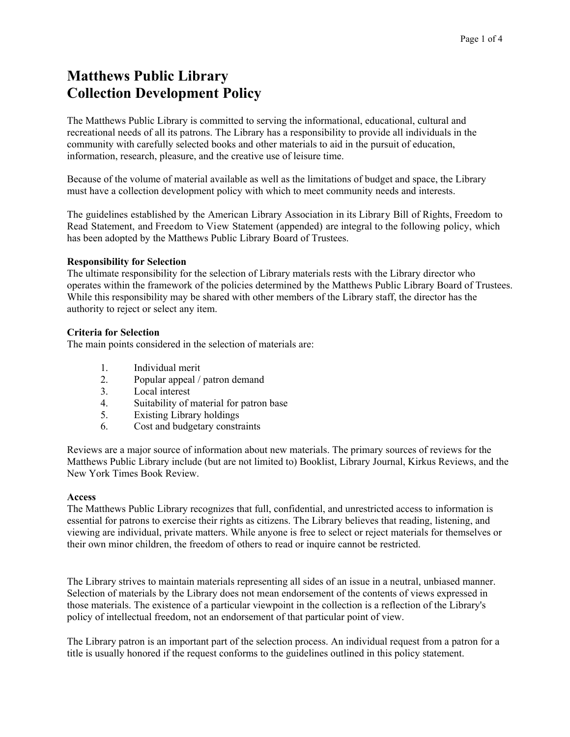# **Matthews Public Library Collection Development Policy**

The Matthews Public Library is committed to serving the informational, educational, cultural and recreational needs of all its patrons. The Library has a responsibility to provide all individuals in the community with carefully selected books and other materials to aid in the pursuit of education, information, research, pleasure, and the creative use of leisure time.

Because of the volume of material available as well as the limitations of budget and space, the Library must have a collection development policy with which to meet community needs and interests.

The guidelines established by the American Library Association in its Library Bill of Rights, Freedom to Read Statement, and Freedom to View Statement (appended) are integral to the following policy, which has been adopted by the Matthews Public Library Board of Trustees.

## **Responsibility for Selection**

The ultimate responsibility for the selection of Library materials rests with the Library director who operates within the framework of the policies determined by the Matthews Public Library Board of Trustees. While this responsibility may be shared with other members of the Library staff, the director has the authority to reject or select any item.

## **Criteria for Selection**

The main points considered in the selection of materials are:

- 1. Individual merit<br>2. Popular appeal /
- Popular appeal / patron demand
- 3. Local interest
- 4. Suitability of material for patron base<br>5. Existing Library holdings
- Existing Library holdings
- 6. Cost and budgetary constraints

Reviews are a major source of information about new materials. The primary sources of reviews for the Matthews Public Library include (but are not limited to) Booklist, Library Journal, Kirkus Reviews, and the New York Times Book Review.

## **Access**

The Matthews Public Library recognizes that full, confidential, and unrestricted access to information is essential for patrons to exercise their rights as citizens. The Library believes that reading, listening, and viewing are individual, private matters. While anyone is free to select or reject materials for themselves or their own minor children, the freedom of others to read or inquire cannot be restricted.

The Library strives to maintain materials representing all sides of an issue in a neutral, unbiased manner. Selection of materials by the Library does not mean endorsement of the contents of views expressed in those materials. The existence of a particular viewpoint in the collection is a reflection of the Library's policy of intellectual freedom, not an endorsement of that particular point of view.

The Library patron is an important part of the selection process. An individual request from a patron for a title is usually honored if the request conforms to the guidelines outlined in this policy statement.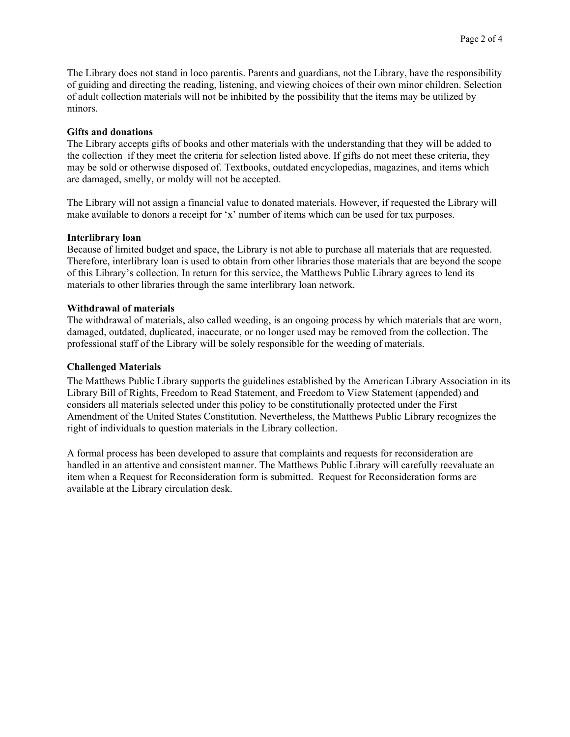The Library does not stand in loco parentis. Parents and guardians, not the Library, have the responsibility of guiding and directing the reading, listening, and viewing choices of their own minor children. Selection of adult collection materials will not be inhibited by the possibility that the items may be utilized by minors.

#### **Gifts and donations**

The Library accepts gifts of books and other materials with the understanding that they will be added to the collection if they meet the criteria for selection listed above. If gifts do not meet these criteria, they may be sold or otherwise disposed of. Textbooks, outdated encyclopedias, magazines, and items which are damaged, smelly, or moldy will not be accepted.

The Library will not assign a financial value to donated materials. However, if requested the Library will make available to donors a receipt for 'x' number of items which can be used for tax purposes.

#### **Interlibrary loan**

Because of limited budget and space, the Library is not able to purchase all materials that are requested. Therefore, interlibrary loan is used to obtain from other libraries those materials that are beyond the scope of this Library's collection. In return for this service, the Matthews Public Library agrees to lend its materials to other libraries through the same interlibrary loan network.

#### **Withdrawal of materials**

The withdrawal of materials, also called weeding, is an ongoing process by which materials that are worn, damaged, outdated, duplicated, inaccurate, or no longer used may be removed from the collection. The professional staff of the Library will be solely responsible for the weeding of materials.

## **Challenged Materials**

The Matthews Public Library supports the guidelines established by the American Library Association in its Library Bill of Rights, Freedom to Read Statement, and Freedom to View Statement (appended) and considers all materials selected under this policy to be constitutionally protected under the First Amendment of the United States Constitution. Nevertheless, the Matthews Public Library recognizes the right of individuals to question materials in the Library collection.

A formal process has been developed to assure that complaints and requests for reconsideration are handled in an attentive and consistent manner. The Matthews Public Library will carefully reevaluate an item when a Request for Reconsideration form is submitted. Request for Reconsideration forms are available at the Library circulation desk.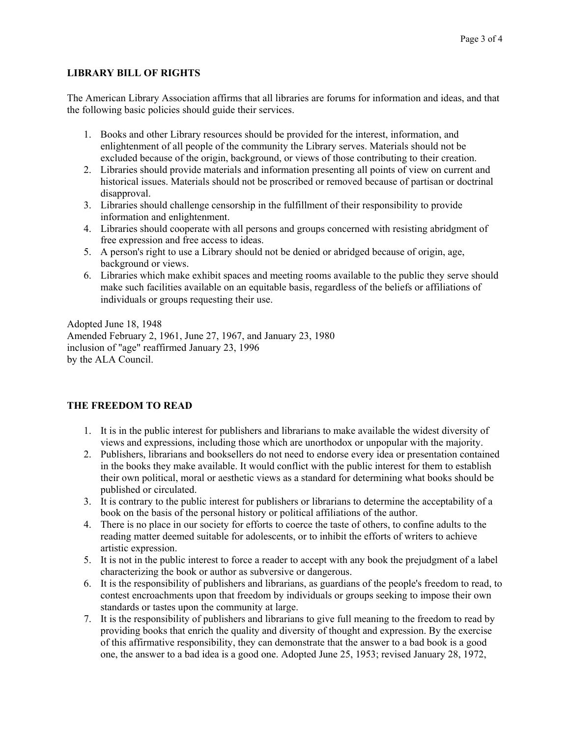# **LIBRARY BILL OF RIGHTS**

The American Library Association affirms that all libraries are forums for information and ideas, and that the following basic policies should guide their services.

- 1. Books and other Library resources should be provided for the interest, information, and enlightenment of all people of the community the Library serves. Materials should not be excluded because of the origin, background, or views of those contributing to their creation.
- 2. Libraries should provide materials and information presenting all points of view on current and historical issues. Materials should not be proscribed or removed because of partisan or doctrinal disapproval.
- 3. Libraries should challenge censorship in the fulfillment of their responsibility to provide information and enlightenment.
- 4. Libraries should cooperate with all persons and groups concerned with resisting abridgment of free expression and free access to ideas.
- 5. A person's right to use a Library should not be denied or abridged because of origin, age, background or views.
- 6. Libraries which make exhibit spaces and meeting rooms available to the public they serve should make such facilities available on an equitable basis, regardless of the beliefs or affiliations of individuals or groups requesting their use.

Adopted June 18, 1948 Amended February 2, 1961, June 27, 1967, and January 23, 1980 inclusion of "age" reaffirmed January 23, 1996 by the ALA Council.

## **THE FREEDOM TO READ**

- 1. It is in the public interest for publishers and librarians to make available the widest diversity of views and expressions, including those which are unorthodox or unpopular with the majority.
- 2. Publishers, librarians and booksellers do not need to endorse every idea or presentation contained in the books they make available. It would conflict with the public interest for them to establish their own political, moral or aesthetic views as a standard for determining what books should be published or circulated.
- 3. It is contrary to the public interest for publishers or librarians to determine the acceptability of a book on the basis of the personal history or political affiliations of the author.
- 4. There is no place in our society for efforts to coerce the taste of others, to confine adults to the reading matter deemed suitable for adolescents, or to inhibit the efforts of writers to achieve artistic expression.
- 5. It is not in the public interest to force a reader to accept with any book the prejudgment of a label characterizing the book or author as subversive or dangerous.
- 6. It is the responsibility of publishers and librarians, as guardians of the people's freedom to read, to contest encroachments upon that freedom by individuals or groups seeking to impose their own standards or tastes upon the community at large.
- 7. It is the responsibility of publishers and librarians to give full meaning to the freedom to read by providing books that enrich the quality and diversity of thought and expression. By the exercise of this affirmative responsibility, they can demonstrate that the answer to a bad book is a good one, the answer to a bad idea is a good one. Adopted June 25, 1953; revised January 28, 1972,